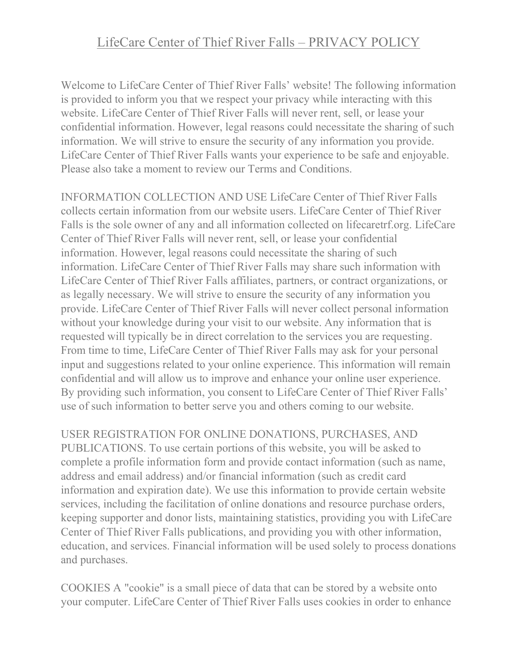## LifeCare Center of Thief River Falls – PRIVACY POLICY

Welcome to LifeCare Center of Thief River Falls' website! The following information is provided to inform you that we respect your privacy while interacting with this website. LifeCare Center of Thief River Falls will never rent, sell, or lease your confidential information. However, legal reasons could necessitate the sharing of such information. We will strive to ensure the security of any information you provide. LifeCare Center of Thief River Falls wants your experience to be safe and enjoyable. Please also take a moment to review our Terms and Conditions.

INFORMATION COLLECTION AND USE LifeCare Center of Thief River Falls collects certain information from our website users. LifeCare Center of Thief River Falls is the sole owner of any and all information collected on lifecaretrf.org. LifeCare Center of Thief River Falls will never rent, sell, or lease your confidential information. However, legal reasons could necessitate the sharing of such information. LifeCare Center of Thief River Falls may share such information with LifeCare Center of Thief River Falls affiliates, partners, or contract organizations, or as legally necessary. We will strive to ensure the security of any information you provide. LifeCare Center of Thief River Falls will never collect personal information without your knowledge during your visit to our website. Any information that is requested will typically be in direct correlation to the services you are requesting. From time to time, LifeCare Center of Thief River Falls may ask for your personal input and suggestions related to your online experience. This information will remain confidential and will allow us to improve and enhance your online user experience. By providing such information, you consent to LifeCare Center of Thief River Falls' use of such information to better serve you and others coming to our website.

## USER REGISTRATION FOR ONLINE DONATIONS, PURCHASES, AND

PUBLICATIONS. To use certain portions of this website, you will be asked to complete a profile information form and provide contact information (such as name, address and email address) and/or financial information (such as credit card information and expiration date). We use this information to provide certain website services, including the facilitation of online donations and resource purchase orders, keeping supporter and donor lists, maintaining statistics, providing you with LifeCare Center of Thief River Falls publications, and providing you with other information, education, and services. Financial information will be used solely to process donations and purchases.

COOKIES A "cookie" is a small piece of data that can be stored by a website onto your computer. LifeCare Center of Thief River Falls uses cookies in order to enhance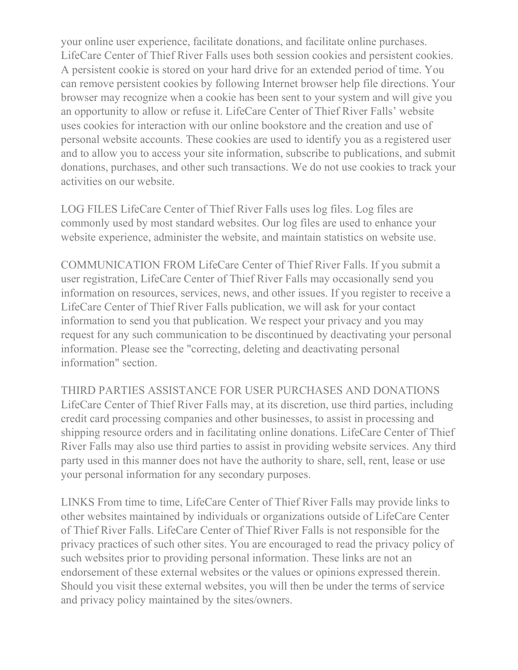your online user experience, facilitate donations, and facilitate online purchases. LifeCare Center of Thief River Falls uses both session cookies and persistent cookies. A persistent cookie is stored on your hard drive for an extended period of time. You can remove persistent cookies by following Internet browser help file directions. Your browser may recognize when a cookie has been sent to your system and will give you an opportunity to allow or refuse it. LifeCare Center of Thief River Falls' website uses cookies for interaction with our online bookstore and the creation and use of personal website accounts. These cookies are used to identify you as a registered user and to allow you to access your site information, subscribe to publications, and submit donations, purchases, and other such transactions. We do not use cookies to track your activities on our website.

LOG FILES LifeCare Center of Thief River Falls uses log files. Log files are commonly used by most standard websites. Our log files are used to enhance your website experience, administer the website, and maintain statistics on website use.

COMMUNICATION FROM LifeCare Center of Thief River Falls. If you submit a user registration, LifeCare Center of Thief River Falls may occasionally send you information on resources, services, news, and other issues. If you register to receive a LifeCare Center of Thief River Falls publication, we will ask for your contact information to send you that publication. We respect your privacy and you may request for any such communication to be discontinued by deactivating your personal information. Please see the "correcting, deleting and deactivating personal information" section.

THIRD PARTIES ASSISTANCE FOR USER PURCHASES AND DONATIONS LifeCare Center of Thief River Falls may, at its discretion, use third parties, including credit card processing companies and other businesses, to assist in processing and shipping resource orders and in facilitating online donations. LifeCare Center of Thief River Falls may also use third parties to assist in providing website services. Any third party used in this manner does not have the authority to share, sell, rent, lease or use your personal information for any secondary purposes.

LINKS From time to time, LifeCare Center of Thief River Falls may provide links to other websites maintained by individuals or organizations outside of LifeCare Center of Thief River Falls. LifeCare Center of Thief River Falls is not responsible for the privacy practices of such other sites. You are encouraged to read the privacy policy of such websites prior to providing personal information. These links are not an endorsement of these external websites or the values or opinions expressed therein. Should you visit these external websites, you will then be under the terms of service and privacy policy maintained by the sites/owners.